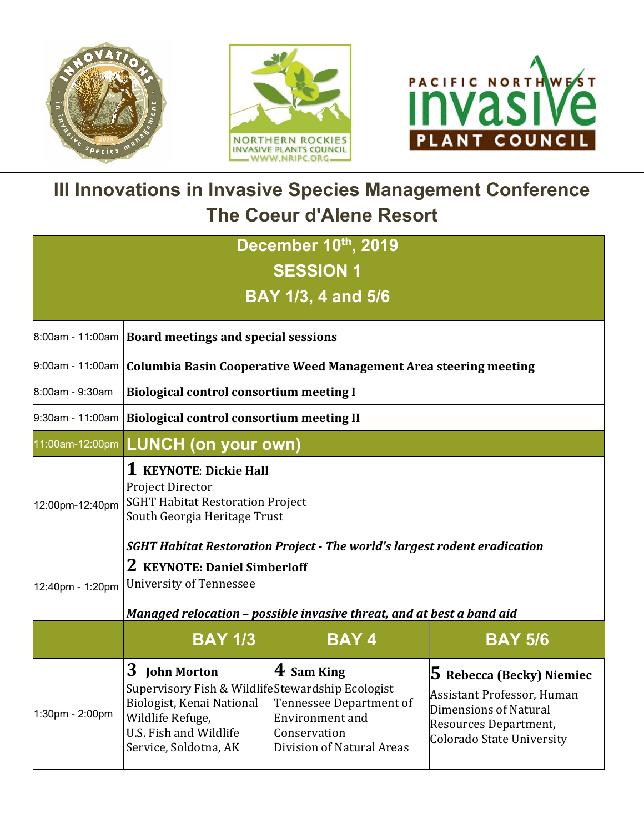



## **III Innovations in Invasive Species Management Conference The Coeur d'Alene Resort**

| December 10th, 2019 |                                                                                                                                                                                                                             |                                                                                                             |                                                                                                                                               |  |  |
|---------------------|-----------------------------------------------------------------------------------------------------------------------------------------------------------------------------------------------------------------------------|-------------------------------------------------------------------------------------------------------------|-----------------------------------------------------------------------------------------------------------------------------------------------|--|--|
|                     |                                                                                                                                                                                                                             | <b>SESSION 1</b>                                                                                            |                                                                                                                                               |  |  |
|                     |                                                                                                                                                                                                                             | <b>BAY 1/3, 4 and 5/6</b>                                                                                   |                                                                                                                                               |  |  |
|                     |                                                                                                                                                                                                                             |                                                                                                             |                                                                                                                                               |  |  |
|                     | 8:00am - 11:00am   Board meetings and special sessions                                                                                                                                                                      |                                                                                                             |                                                                                                                                               |  |  |
|                     |                                                                                                                                                                                                                             | 9:00am - 11:00am   Columbia Basin Cooperative Weed Management Area steering meeting                         |                                                                                                                                               |  |  |
| 8:00am - 9:30am     | <b>Biological control consortium meeting I</b>                                                                                                                                                                              |                                                                                                             |                                                                                                                                               |  |  |
|                     | 9:30am - 11:00am   <b>Biological control consortium meeting II</b>                                                                                                                                                          |                                                                                                             |                                                                                                                                               |  |  |
| 11:00am-12:00pm     | <b>LUNCH (on your own)</b>                                                                                                                                                                                                  |                                                                                                             |                                                                                                                                               |  |  |
| 12:00pm-12:40pm     | 1 KEYNOTE: Dickie Hall<br><b>Project Director</b><br><b>SGHT Habitat Restoration Project</b><br>South Georgia Heritage Trust                                                                                                |                                                                                                             |                                                                                                                                               |  |  |
| 12:40pm - 1:20pm    | <b>SGHT Habitat Restoration Project - The world's largest rodent eradication</b><br>2 KEYNOTE: Daniel Simberloff<br><b>University of Tennessee</b><br>Managed relocation - possible invasive threat, and at best a band aid |                                                                                                             |                                                                                                                                               |  |  |
|                     | <b>BAY 1/3</b>                                                                                                                                                                                                              | <b>BAY4</b>                                                                                                 | <b>BAY 5/6</b>                                                                                                                                |  |  |
| 1:30pm - 2:00pm     | 3<br><b>John Morton</b><br>Supervisory Fish & WildlifeStewardship Ecologist<br>Biologist, Kenai National<br>Wildlife Refuge,<br>U.S. Fish and Wildlife<br>Service, Soldotna, AK                                             | $\bf 4$ Sam King<br>Tennessee Department of<br>Environment and<br>Conservation<br>Division of Natural Areas | 5 Rebecca (Becky) Niemiec<br><b>Assistant Professor, Human</b><br>Dimensions of Natural<br>Resources Department,<br>Colorado State University |  |  |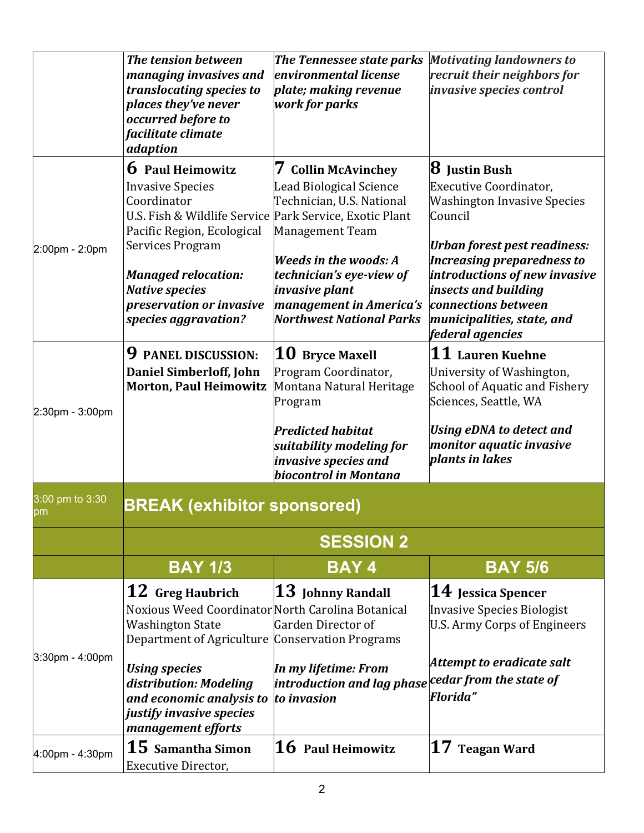|                       | The tension between<br><b>The Tennessee state parks</b><br><b>Motivating landowners to</b> |                                           |                                     |  |
|-----------------------|--------------------------------------------------------------------------------------------|-------------------------------------------|-------------------------------------|--|
|                       | managing invasives and                                                                     | environmental license                     | recruit their neighbors for         |  |
|                       | translocating species to                                                                   | plate; making revenue                     | invasive species control            |  |
|                       | places they've never                                                                       | work for parks                            |                                     |  |
|                       | occurred before to                                                                         |                                           |                                     |  |
|                       | facilitate climate                                                                         |                                           |                                     |  |
|                       | adaption                                                                                   |                                           |                                     |  |
|                       | <b>6</b> Paul Heimowitz                                                                    | <b>Collin McAvinchey</b><br>$\mathcal{L}$ | <b>8</b> Justin Bush                |  |
|                       | <b>Invasive Species</b>                                                                    | <b>Lead Biological Science</b>            | Executive Coordinator,              |  |
|                       | Coordinator                                                                                | Technician, U.S. National                 | <b>Washington Invasive Species</b>  |  |
|                       | U.S. Fish & Wildlife Service                                                               | Park Service, Exotic Plant                | Council                             |  |
|                       | Pacific Region, Ecological                                                                 | Management Team                           |                                     |  |
| 2:00pm - 2:0pm        | <b>Services Program</b>                                                                    |                                           | <b>Urban forest pest readiness:</b> |  |
|                       |                                                                                            | <b>Weeds in the woods: A</b>              | <b>Increasing preparedness to</b>   |  |
|                       | <b>Managed relocation:</b>                                                                 | technician's eye-view of                  | introductions of new invasive       |  |
|                       | <b>Native species</b>                                                                      | invasive plant                            | insects and building                |  |
|                       | preservation or invasive                                                                   | management in America's                   | connections between                 |  |
|                       | species aggravation?                                                                       | <b>Northwest National Parks</b>           | municipalities, state, and          |  |
|                       |                                                                                            |                                           | federal agencies                    |  |
|                       | 9<br><b>PANEL DISCUSSION:</b>                                                              | $\bf{10}\;$ Bryce Maxell                  | $\bf 11$ Lauren Kuehne              |  |
|                       | Daniel Simberloff, John                                                                    | Program Coordinator,                      | University of Washington,           |  |
|                       | <b>Morton, Paul Heimowitz</b>                                                              | Montana Natural Heritage                  | School of Aquatic and Fishery       |  |
| 2:30pm - 3:00pm       |                                                                                            | Program                                   | Sciences, Seattle, WA               |  |
|                       |                                                                                            | <b>Predicted habitat</b>                  | <b>Using eDNA to detect and</b>     |  |
|                       |                                                                                            | suitability modeling for                  | monitor aquatic invasive            |  |
|                       |                                                                                            | invasive species and                      | plants in lakes                     |  |
|                       |                                                                                            | biocontrol in Montana                     |                                     |  |
|                       |                                                                                            |                                           |                                     |  |
| 3:00 pm to 3:30<br>pm | <b>BREAK (exhibitor sponsored)</b>                                                         |                                           |                                     |  |
|                       |                                                                                            | <b>SESSION 2</b>                          |                                     |  |
|                       | <b>BAY 173</b>                                                                             | <b>BAY4</b>                               | <b>BAY 5/6</b>                      |  |
|                       | 12 Greg Haubrich                                                                           | $13$ Johnny Randall                       | $\bf 14\,$ Jessica Spencer          |  |
|                       | Noxious Weed Coordinator North Carolina Botanical                                          |                                           | Invasive Species Biologist          |  |
|                       | <b>Washington State</b>                                                                    | Garden Director of                        | U.S. Army Corps of Engineers        |  |
|                       | Department of Agriculture Conservation Programs                                            |                                           |                                     |  |
| 3:30pm - 4:00pm       |                                                                                            |                                           |                                     |  |
|                       | <b>Using species</b>                                                                       | In my lifetime: From                      | Attempt to eradicate salt           |  |
|                       | distribution: Modeling                                                                     | introduction and lag phase                | cedar from the state of             |  |
|                       | and economic analysis to                                                                   | to invasion                               | <b>Florida"</b>                     |  |
|                       | justify invasive species                                                                   |                                           |                                     |  |
|                       | management efforts                                                                         |                                           |                                     |  |
| 4:00pm - 4:30pm       | 15 Samantha Simon                                                                          | 16 Paul Heimowitz                         | $17$ Teagan Ward                    |  |
|                       | Executive Director,                                                                        |                                           |                                     |  |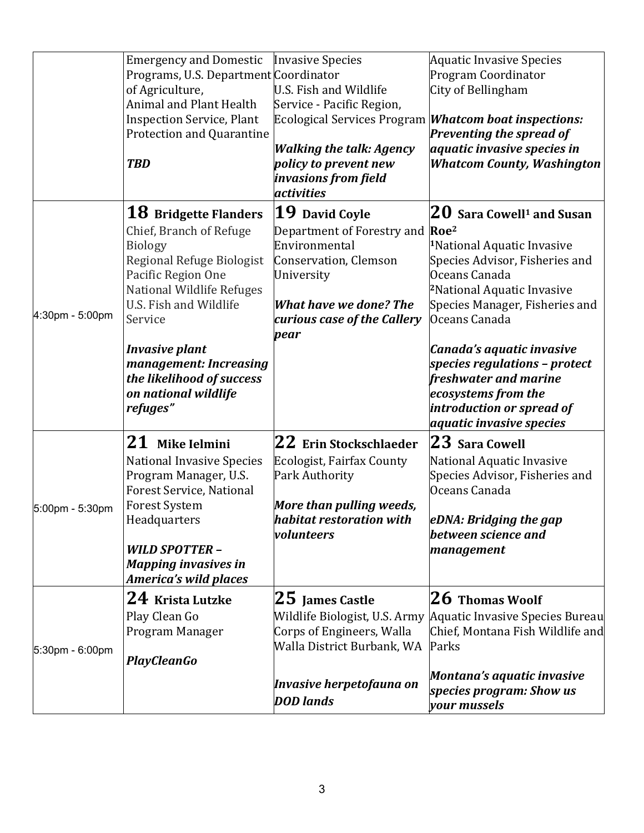|                 | <b>Emergency and Domestic</b>                                        | <b>Invasive Species</b>                                     | <b>Aquatic Invasive Species</b>                                                          |
|-----------------|----------------------------------------------------------------------|-------------------------------------------------------------|------------------------------------------------------------------------------------------|
|                 | Programs, U.S. Department Coordinator                                |                                                             | Program Coordinator                                                                      |
|                 | of Agriculture,                                                      | U.S. Fish and Wildlife                                      | City of Bellingham                                                                       |
|                 | Animal and Plant Health                                              | Service - Pacific Region,                                   |                                                                                          |
|                 | <b>Inspection Service, Plant</b><br><b>Protection and Quarantine</b> |                                                             | Ecological Services Program <i>Whatcom boat inspections:</i><br>Preventing the spread of |
|                 |                                                                      | <b>Walking the talk: Agency</b>                             | aquatic invasive species in                                                              |
|                 | <b>TBD</b>                                                           | policy to prevent new<br>invasions from field<br>activities | <b>Whatcom County, Washington</b>                                                        |
|                 | 18 Bridgette Flanders                                                | $ 19\>$ David Coyle                                         | ${\bf 20}$ Sara Cowell $^{\rm 1}$ and Susan                                              |
|                 | Chief, Branch of Refuge                                              | Department of Forestry and Roe <sup>2</sup>                 |                                                                                          |
|                 | <b>Biology</b>                                                       | Environmental                                               | <sup>1</sup> National Aquatic Invasive                                                   |
|                 | Regional Refuge Biologist                                            | Conservation, Clemson                                       | Species Advisor, Fisheries and                                                           |
|                 | Pacific Region One                                                   | University                                                  | Oceans Canada                                                                            |
|                 | National Wildlife Refuges                                            |                                                             | <sup>2</sup> National Aquatic Invasive                                                   |
| 4:30pm - 5:00pm | U.S. Fish and Wildlife                                               | <b>What have we done? The</b>                               | Species Manager, Fisheries and                                                           |
|                 | Service                                                              | curious case of the Callery                                 | Oceans Canada                                                                            |
|                 | <b>Invasive plant</b>                                                | pear                                                        | Canada's aquatic invasive                                                                |
|                 | management: Increasing                                               |                                                             | species regulations - protect                                                            |
|                 | the likelihood of success                                            |                                                             | freshwater and marine                                                                    |
|                 | on national wildlife                                                 |                                                             | ecosystems from the                                                                      |
|                 | refuges"                                                             |                                                             | introduction or spread of                                                                |
|                 |                                                                      |                                                             | aquatic invasive species                                                                 |
|                 | 21 Mike Ielmini                                                      | $ 22\>$ Erin Stockschlaeder                                 | $23$ Sara Cowell                                                                         |
|                 | <b>National Invasive Species</b>                                     | <b>Ecologist, Fairfax County</b>                            | National Aquatic Invasive                                                                |
|                 | Program Manager, U.S.                                                | <b>Park Authority</b>                                       | Species Advisor, Fisheries and                                                           |
|                 | <b>Forest Service, National</b>                                      |                                                             | Oceans Canada                                                                            |
| 5:00pm - 5:30pm | <b>Forest System</b><br>Headquarters                                 | More than pulling weeds,<br>habitat restoration with        | eDNA: Bridging the gap                                                                   |
|                 |                                                                      | volunteers                                                  | between science and                                                                      |
|                 | <b>WILD SPOTTER -</b>                                                |                                                             | management                                                                               |
|                 | <b>Mapping invasives in</b>                                          |                                                             |                                                                                          |
|                 | <b>America's wild places</b>                                         |                                                             |                                                                                          |
|                 | $24\,$ Krista Lutzke                                                 | ${\bf 25}\,$ James Castle                                   | ${\bf 26}\,$ Thomas Woolf                                                                |
|                 | Play Clean Go                                                        |                                                             | Wildlife Biologist, U.S. Army Aquatic Invasive Species Bureau                            |
|                 | Program Manager                                                      | Corps of Engineers, Walla                                   | Chief, Montana Fish Wildlife and                                                         |
| 5:30pm - 6:00pm |                                                                      | Walla District Burbank, WA                                  | Parks                                                                                    |
|                 | <b>PlayCleanGo</b>                                                   |                                                             | Montana's aquatic invasive                                                               |
|                 |                                                                      | Invasive herpetofauna on                                    | species program: Show us                                                                 |
|                 |                                                                      | <b>DOD</b> lands                                            | your mussels                                                                             |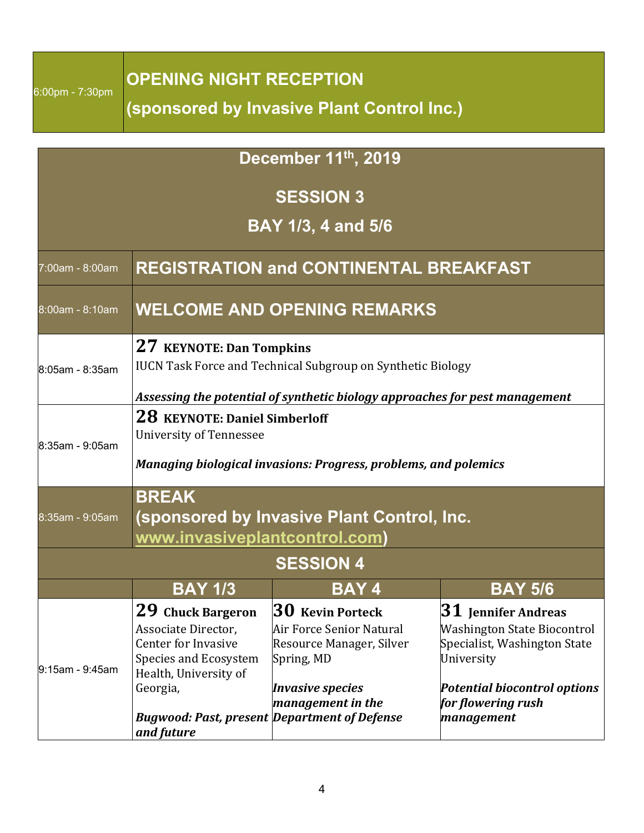| 6:00pm - 7:30pm |  |  |
|-----------------|--|--|
|                 |  |  |

## **OPENING NIGHT RECEPTION**

**(sponsored by Invasive Plant Control Inc.)**

## **December 11th, 2019 SESSION 3 BAY 1/3, 4 and 5/6** 7:00am - 8:00am **REGISTRATION and CONTINENTAL BREAKFAST** 8:00am - 8:10am **WELCOME AND OPENING REMARKS** 8:05am - 8:35am **27 KEYNOTE: Dan Tompkins** IUCN Task Force and Technical Subgroup on Synthetic Biology *Assessing the potential of synthetic biology approaches for pest management* 8:35am - 9:05am **28 KEYNOTE: Daniel Simberloff** University of Tennessee *Managing biological invasions: Progress, problems, and polemics* 8:35am - 9:05am **BREAK (sponsored by Invasive Plant Control, Inc. www.invasiveplantcontrol.com) SESSION 4 BAY 1/3 BAY 4 BAY 5/6** 9:15am - 9:45am **29 Chuck Bargeron**  Associate Director, Center for Invasive Species and Ecosystem Health, University of Georgia, *Bugwood: Past, present Department of Defense and future* **30 Kevin Porteck** Air Force Senior Natural Resource Manager, Silver Spring, MD **Invasive species** *management in the* **31 Jennifer Andreas** Washington State Biocontrol Specialist, Washington State University **Potential biocontrol options** for flowering rush *management*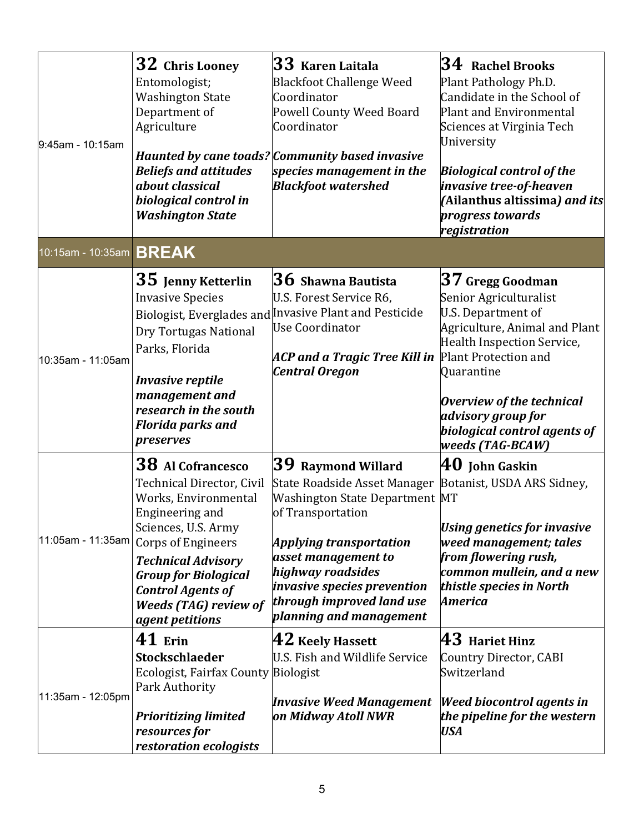| 9:45am - 10:15am               | 32 Chris Looney<br>Entomologist;<br><b>Washington State</b><br>Department of<br>Agriculture<br><b>Beliefs and attitudes</b><br>about classical<br>biological control in<br><b>Washington State</b>                                                                                              | $\bf{33}$ Karen Laitala<br><b>Blackfoot Challenge Weed</b><br>Coordinator<br>Powell County Weed Board<br>Coordinator<br>Haunted by cane toads? Community based invasive<br>species management in the<br><b>Blackfoot watershed</b>                                         | $34$ Rachel Brooks<br>Plant Pathology Ph.D.<br>Candidate in the School of<br><b>Plant and Environmental</b><br>Sciences at Virginia Tech<br>University<br><b>Biological control of the</b><br>invasive tree-of-heaven<br>(Ailanthus altissima) and its<br>progress towards<br>registration |
|--------------------------------|-------------------------------------------------------------------------------------------------------------------------------------------------------------------------------------------------------------------------------------------------------------------------------------------------|----------------------------------------------------------------------------------------------------------------------------------------------------------------------------------------------------------------------------------------------------------------------------|--------------------------------------------------------------------------------------------------------------------------------------------------------------------------------------------------------------------------------------------------------------------------------------------|
| 10:15am - 10:35am <b>BREAK</b> |                                                                                                                                                                                                                                                                                                 |                                                                                                                                                                                                                                                                            |                                                                                                                                                                                                                                                                                            |
| 10:35am - 11:05am              | 35 Jenny Ketterlin<br><b>Invasive Species</b><br>Dry Tortugas National<br>Parks, Florida<br><b>Invasive reptile</b><br>management and<br>research in the south<br><b>Florida parks and</b><br>preserves                                                                                         | ${\bf 36}$ Shawna Bautista<br>U.S. Forest Service R6,<br>Biologist, Everglades and Invasive Plant and Pesticide<br><b>Use Coordinator</b><br>ACP and a Tragic Tree Kill in Plant Protection and<br><b>Central Oregon</b>                                                   | $\bf{37}$ Gregg Goodman<br>Senior Agriculturalist<br>U.S. Department of<br>Agriculture, Animal and Plant<br>Health Inspection Service,<br>Quarantine<br><b>Overview of the technical</b><br>advisory group for<br>biological control agents of<br>weeds (TAG-BCAW)                         |
| 11:05am - 11:35am              | 38 Al Cofrancesco<br><b>Technical Director, Civil</b><br>Works, Environmental<br>Engineering and<br>Sciences, U.S. Army<br><b>Corps of Engineers</b><br><b>Technical Advisory</b><br><b>Group for Biological</b><br><b>Control Agents of</b><br><b>Weeds (TAG) review of</b><br>agent petitions | $ 39$ Raymond Willard<br>State Roadside Asset Manager<br>Washington State Department MT<br>of Transportation<br>Applying transportation<br>asset management to<br>highway roadsides<br>invasive species prevention<br>through improved land use<br>planning and management | $\bf{40}$ John Gaskin<br>Botanist, USDA ARS Sidney,<br><b>Using genetics for invasive</b><br>weed management; tales<br>from flowering rush,<br>common mullein, and a new<br>thistle species in North<br>America                                                                            |
| 11:35am - 12:05pm              | 41 Erin<br>Stockschlaeder<br>Ecologist, Fairfax County Biologist<br>Park Authority<br><b>Prioritizing limited</b><br>resources for<br>restoration ecologists                                                                                                                                    | $\bf{42}$ Keely Hassett<br>U.S. Fish and Wildlife Service<br><b>Invasive Weed Management</b><br>on Midway Atoll NWR                                                                                                                                                        | $\bm{43}$ Hariet Hinz<br><b>Country Director, CABI</b><br>Switzerland<br><b>Weed biocontrol agents in</b><br>the pipeline for the western<br><b>USA</b>                                                                                                                                    |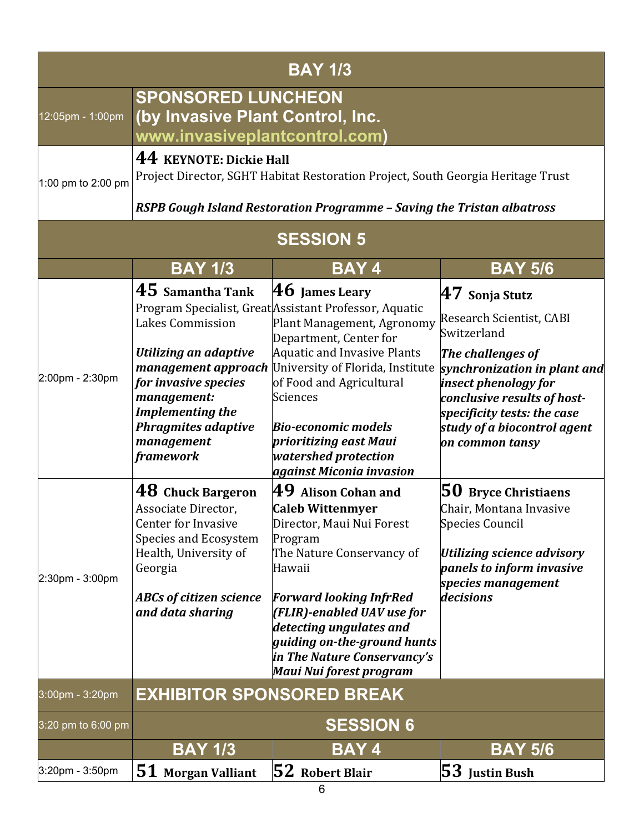|                    |                                                                                                                                                                                                   | <b>BAY 173</b>                                                                                                                                                                                                                                                                                                                                                                                |                                                                                                                                                                                                                                                          |  |  |
|--------------------|---------------------------------------------------------------------------------------------------------------------------------------------------------------------------------------------------|-----------------------------------------------------------------------------------------------------------------------------------------------------------------------------------------------------------------------------------------------------------------------------------------------------------------------------------------------------------------------------------------------|----------------------------------------------------------------------------------------------------------------------------------------------------------------------------------------------------------------------------------------------------------|--|--|
| 12:05pm - 1:00pm   | <b>SPONSORED LUNCHEON</b><br>(by Invasive Plant Control, Inc.<br>www.invasiveplantcontrol.com)                                                                                                    |                                                                                                                                                                                                                                                                                                                                                                                               |                                                                                                                                                                                                                                                          |  |  |
| 1:00 pm to 2:00 pm | 44 KEYNOTE: Dickie Hall<br>Project Director, SGHT Habitat Restoration Project, South Georgia Heritage Trust<br>RSPB Gough Island Restoration Programme - Saving the Tristan albatross             |                                                                                                                                                                                                                                                                                                                                                                                               |                                                                                                                                                                                                                                                          |  |  |
|                    |                                                                                                                                                                                                   | <b>SESSION 5</b>                                                                                                                                                                                                                                                                                                                                                                              |                                                                                                                                                                                                                                                          |  |  |
|                    | <b>BAY 1/3</b>                                                                                                                                                                                    | <b>BAY4</b>                                                                                                                                                                                                                                                                                                                                                                                   | <b>BAY 5/6</b>                                                                                                                                                                                                                                           |  |  |
| 2:00pm - 2:30pm    | $45$ Samantha Tank<br>Lakes Commission<br>Utilizing an adaptive<br>for invasive species<br>management:<br><b>Implementing the</b><br><b>Phragmites adaptive</b><br>management<br><b>framework</b> | $ 46 $ James Leary<br>Program Specialist, Great Assistant Professor, Aquatic<br>Plant Management, Agronomy<br>Department, Center for<br><b>Aquatic and Invasive Plants</b><br><b>management approach</b> University of Florida, Institute<br>of Food and Agricultural<br>Sciences<br><b>Bio-economic models</b><br>prioritizing east Maui<br>watershed protection<br>against Miconia invasion | $47$ Sonja Stutz<br>Research Scientist, CABI<br>Switzerland<br>The challenges of<br>synchronization in plant and<br>insect phenology for<br>conclusive results of host-<br>specificity tests: the case<br>study of a biocontrol agent<br>on common tansy |  |  |
| 2:30pm - 3:00pm    | 48 Chuck Bargeron<br>Associate Director,<br><b>Center for Invasive</b><br>Species and Ecosystem<br>Health, University of<br>Georgia<br><b>ABCs of citizen science</b><br>and data sharing         | $\bf{49}$ Alison Cohan and<br><b>Caleb Wittenmyer</b><br>Director, Maui Nui Forest<br>Program<br>The Nature Conservancy of<br>Hawaii<br><b>Forward looking InfrRed</b><br>(FLIR)-enabled UAV use for<br>detecting ungulates and<br>guiding on-the-ground hunts<br>in The Nature Conservancy's<br>Maui Nui forest program                                                                      | 50 Bryce Christiaens<br>Chair, Montana Invasive<br>Species Council<br>Utilizing science advisory<br>panels to inform invasive<br>species management<br>decisions                                                                                         |  |  |
| 3:00pm - 3:20pm    | <b>EXHIBITOR SPONSORED BREAK</b>                                                                                                                                                                  |                                                                                                                                                                                                                                                                                                                                                                                               |                                                                                                                                                                                                                                                          |  |  |
| 3:20 pm to 6:00 pm |                                                                                                                                                                                                   | <b>SESSION 6</b>                                                                                                                                                                                                                                                                                                                                                                              |                                                                                                                                                                                                                                                          |  |  |
|                    | <b>BAY 1/3</b>                                                                                                                                                                                    | <b>BAY4</b>                                                                                                                                                                                                                                                                                                                                                                                   | <b>BAY 5/6</b>                                                                                                                                                                                                                                           |  |  |
| 3:20pm - 3:50pm    | 51 Morgan Valliant                                                                                                                                                                                | $ 52$ Robert Blair<br>6                                                                                                                                                                                                                                                                                                                                                                       | $ 53 $ Justin Bush                                                                                                                                                                                                                                       |  |  |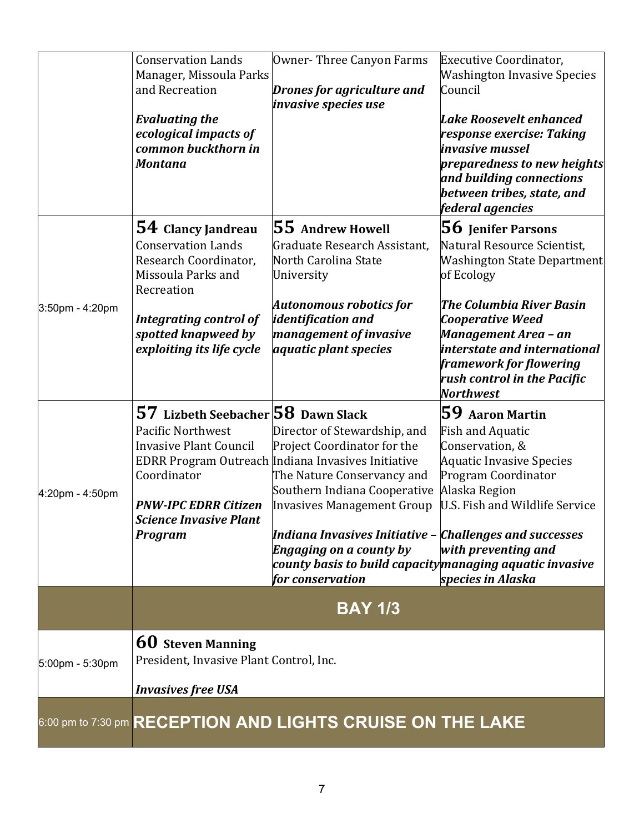|                               | <b>BAY 1/3</b>                                                                                                                                                                    |                                                                                                                                                                                                                                                                                                                                                                                                      |
|-------------------------------|-----------------------------------------------------------------------------------------------------------------------------------------------------------------------------------|------------------------------------------------------------------------------------------------------------------------------------------------------------------------------------------------------------------------------------------------------------------------------------------------------------------------------------------------------------------------------------------------------|
|                               |                                                                                                                                                                                   |                                                                                                                                                                                                                                                                                                                                                                                                      |
|                               | $\,$ county basis to build capacity $\,$ mana $g$ ing a $\,$ quatic invasive                                                                                                      | species in Alaska                                                                                                                                                                                                                                                                                                                                                                                    |
| <b>Program</b>                | Indiana Invasives Initiative - Challenges and successes                                                                                                                           | with preventing and                                                                                                                                                                                                                                                                                                                                                                                  |
| <b>PNW-IPC EDRR Citizen</b>   | <b>Invasives Management Group</b>                                                                                                                                                 | U.S. Fish and Wildlife Service                                                                                                                                                                                                                                                                                                                                                                       |
| Coordinator                   | The Nature Conservancy and                                                                                                                                                        | Program Coordinator<br>Alaska Region                                                                                                                                                                                                                                                                                                                                                                 |
| <b>Invasive Plant Council</b> | Project Coordinator for the                                                                                                                                                       | Conservation, &<br><b>Aquatic Invasive Species</b>                                                                                                                                                                                                                                                                                                                                                   |
|                               |                                                                                                                                                                                   | $59$ Aaron Martin<br><b>Fish and Aquatic</b>                                                                                                                                                                                                                                                                                                                                                         |
|                               |                                                                                                                                                                                   | <b>Northwest</b>                                                                                                                                                                                                                                                                                                                                                                                     |
|                               |                                                                                                                                                                                   | framework for flowering<br>rush control in the Pacific                                                                                                                                                                                                                                                                                                                                               |
| spotted knapweed by           | management of invasive                                                                                                                                                            | Management Area – an<br>interstate and international                                                                                                                                                                                                                                                                                                                                                 |
| <b>Integrating control of</b> | <i>identification and</i>                                                                                                                                                         | The Columbia River Basin<br>Cooperative Weed                                                                                                                                                                                                                                                                                                                                                         |
| Recreation                    |                                                                                                                                                                                   |                                                                                                                                                                                                                                                                                                                                                                                                      |
| Research Coordinator,         | North Carolina State                                                                                                                                                              | Washington State Department<br>of Ecology                                                                                                                                                                                                                                                                                                                                                            |
| <b>Conservation Lands</b>     | Graduate Research Assistant,                                                                                                                                                      | $\bf{56}$ Jenifer Parsons<br>Natural Resource Scientist,                                                                                                                                                                                                                                                                                                                                             |
|                               |                                                                                                                                                                                   | federal agencies                                                                                                                                                                                                                                                                                                                                                                                     |
|                               |                                                                                                                                                                                   | and building connections<br>between tribes, state, and                                                                                                                                                                                                                                                                                                                                               |
| <b>Montana</b>                |                                                                                                                                                                                   | preparedness to new heights                                                                                                                                                                                                                                                                                                                                                                          |
| common buckthorn in           |                                                                                                                                                                                   | response exercise: Taking<br>invasive mussel                                                                                                                                                                                                                                                                                                                                                         |
| <b>Evaluating the</b>         |                                                                                                                                                                                   | <b>Lake Roosevelt enhanced</b>                                                                                                                                                                                                                                                                                                                                                                       |
| and Recreation                | Drones for agriculture and                                                                                                                                                        | Council                                                                                                                                                                                                                                                                                                                                                                                              |
|                               |                                                                                                                                                                                   | Executive Coordinator,<br><b>Washington Invasive Species</b>                                                                                                                                                                                                                                                                                                                                         |
|                               | <b>Conservation Lands</b><br>ecological impacts of<br>54 Clancy Jandreau<br>Missoula Parks and<br>exploiting its life cycle<br>Pacific Northwest<br><b>Science Invasive Plant</b> | Owner-Three Canyon Farms<br>Manager, Missoula Parks<br><i>invasive species use</i><br>$ 55$ Andrew Howell<br>University<br><b>Autonomous robotics for</b><br><i>aquatic plant species</i><br>57 Lizbeth Seebacher 58 Dawn Slack<br>Director of Stewardship, and<br>EDRR Program Outreach Indiana Invasives Initiative<br>Southern Indiana Cooperative<br>Engaging on a county by<br>for conservation |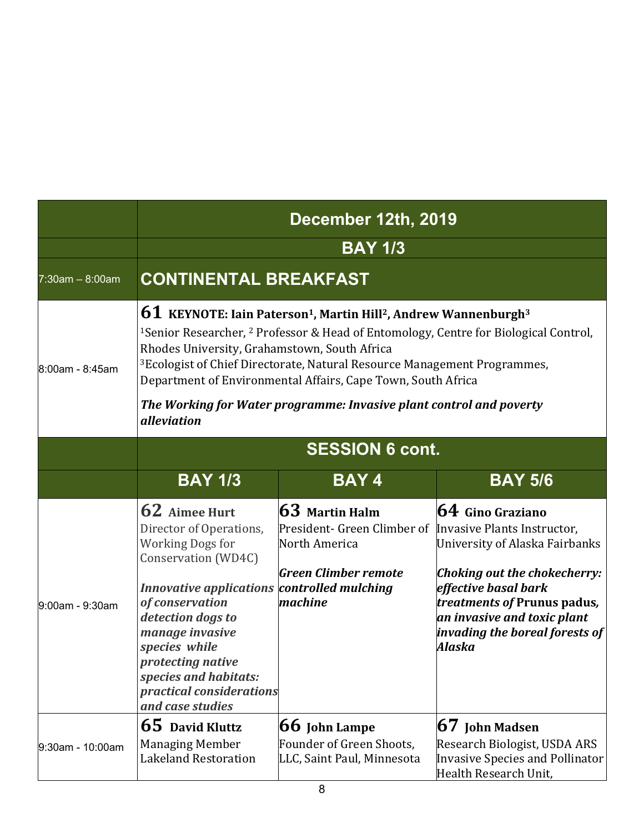|                   | December 12th, 2019<br><b>BAY 1/3</b>                                                                                                                                                                                                                                                                                                                                                                                                                                                                                                               |                                                                                                                                        |                                                                                                                                                                                                                                      |  |
|-------------------|-----------------------------------------------------------------------------------------------------------------------------------------------------------------------------------------------------------------------------------------------------------------------------------------------------------------------------------------------------------------------------------------------------------------------------------------------------------------------------------------------------------------------------------------------------|----------------------------------------------------------------------------------------------------------------------------------------|--------------------------------------------------------------------------------------------------------------------------------------------------------------------------------------------------------------------------------------|--|
|                   |                                                                                                                                                                                                                                                                                                                                                                                                                                                                                                                                                     |                                                                                                                                        |                                                                                                                                                                                                                                      |  |
| $7:30am - 8:00am$ | <b>CONTINENTAL BREAKFAST</b>                                                                                                                                                                                                                                                                                                                                                                                                                                                                                                                        |                                                                                                                                        |                                                                                                                                                                                                                                      |  |
| 8:00am - 8:45am   | $61$ KEYNOTE: Iain Paterson <sup>1</sup> , Martin Hill <sup>2</sup> , Andrew Wannenburgh <sup>3</sup><br><sup>1</sup> Senior Researcher, <sup>2</sup> Professor & Head of Entomology, Centre for Biological Control,<br>Rhodes University, Grahamstown, South Africa<br><sup>3</sup> Ecologist of Chief Directorate, Natural Resource Management Programmes,<br>Department of Environmental Affairs, Cape Town, South Africa<br>The Working for Water programme: Invasive plant control and poverty<br><i>alleviation</i><br><b>SESSION 6 cont.</b> |                                                                                                                                        |                                                                                                                                                                                                                                      |  |
|                   |                                                                                                                                                                                                                                                                                                                                                                                                                                                                                                                                                     |                                                                                                                                        |                                                                                                                                                                                                                                      |  |
| 9:00am - 9:30am   | 62 Aimee Hurt<br>Director of Operations,<br><b>Working Dogs for</b><br>Conservation (WD4C)<br>Innovative applications controlled mulching<br>of conservation<br>detection dogs to<br>manage invasive<br>species while<br>protecting native<br>species and habitats:<br>practical considerations<br>and case studies                                                                                                                                                                                                                                 | $63$ Martin Halm<br>President- Green Climber of Invasive Plants Instructor,<br>North America<br><b>Green Climber remote</b><br>machine | $64$ Gino Graziano<br>University of Alaska Fairbanks<br><b>Choking out the chokecherry:</b><br>effective basal bark<br><i>treatments of Prunus padus,</i><br>an invasive and toxic plant<br>invading the boreal forests of<br>Alaska |  |
| 9:30am - 10:00am  | 65 David Kluttz<br><b>Managing Member</b><br><b>Lakeland Restoration</b>                                                                                                                                                                                                                                                                                                                                                                                                                                                                            | $ 66$ John Lampe<br>Founder of Green Shoots,<br>LLC, Saint Paul, Minnesota                                                             | <b>67</b> John Madsen<br>Research Biologist, USDA ARS<br><b>Invasive Species and Pollinator</b><br>Health Research Unit,                                                                                                             |  |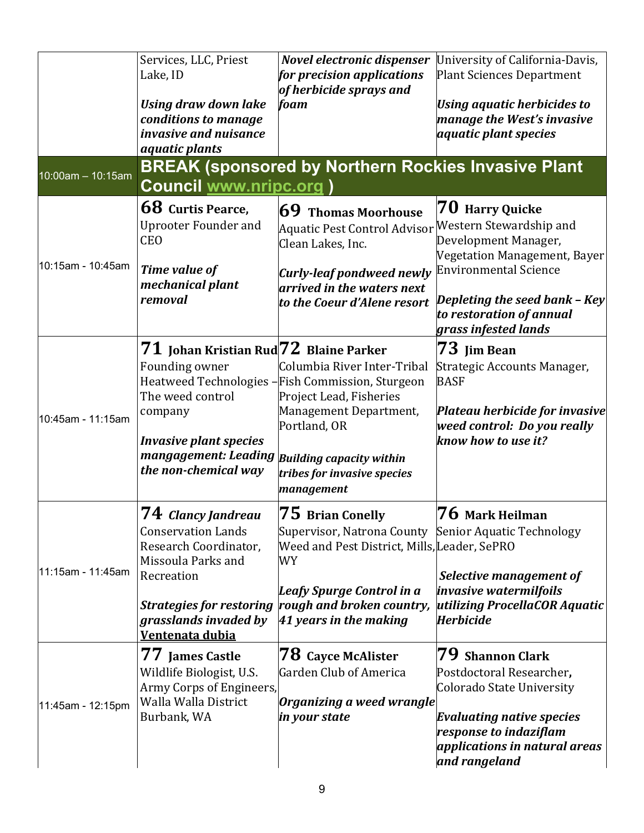|                   | Services, LLC, Priest<br>Lake, ID                                                                                                                                                                         | Novel electronic dispenser<br>for precision applications<br>of herbicide sprays and                                                                                                                                    | University of California-Davis,<br><b>Plant Sciences Department</b>                                                                                                                                                     |
|-------------------|-----------------------------------------------------------------------------------------------------------------------------------------------------------------------------------------------------------|------------------------------------------------------------------------------------------------------------------------------------------------------------------------------------------------------------------------|-------------------------------------------------------------------------------------------------------------------------------------------------------------------------------------------------------------------------|
|                   | <b>Using draw down lake</b><br>conditions to manage<br>invasive and nuisance<br>aquatic plants                                                                                                            | foam                                                                                                                                                                                                                   | <b>Using aquatic herbicides to</b><br>manage the West's invasive<br><i>aquatic plant species</i>                                                                                                                        |
| 10:00am - 10:15am | <b>Council www.nripc.org)</b>                                                                                                                                                                             | <b>BREAK (sponsored by Northern Rockies Invasive Plant</b>                                                                                                                                                             |                                                                                                                                                                                                                         |
| 10:15am - 10:45am | 68 Curtis Pearce,<br><b>Uprooter Founder and</b><br><b>CEO</b><br>Time value of<br>mechanical plant<br>removal                                                                                            | $69$ Thomas Moorhouse<br>Aquatic Pest Control Advisor<br>Clean Lakes, Inc.<br><b>Curly-leaf pondweed newly</b><br>arrived in the waters next<br>to the Coeur d'Alene resort                                            | 70 Harry Quicke<br>Western Stewardship and<br>Development Manager,<br>Vegetation Management, Bayer<br><b>Environmental Science</b><br>Depleting the seed bank - Key<br>to restoration of annual<br>grass infested lands |
| 10:45am - 11:15am | $71\,$ Johan Kristian Rud $72\,$ Blaine Parker<br>Founding owner<br>The weed control<br>company<br><b>Invasive plant species</b><br>mangagement: Leading Building capacity within<br>the non-chemical way | Columbia River Inter-Tribal<br>Heatweed Technologies -Fish Commission, Sturgeon<br>Project Lead, Fisheries<br>Management Department,<br>Portland, OR<br>tribes for invasive species<br>management                      | 73 Jim Bean<br>Strategic Accounts Manager,<br><b>BASF</b><br>Plateau herbicide for invasive<br>weed control: Do you really<br>know how to use it?                                                                       |
| 11:15am - 11:45am | ${\bf 74}$ Clancy Jandreau<br><b>Conservation Lands</b><br>Research Coordinator,<br>Missoula Parks and<br>Recreation<br><b>Strategies for restoring</b><br>grasslands invaded by<br>Ventenata dubia       | $75\,$ Brian Conelly<br>Supervisor, Natrona County Senior Aquatic Technology<br>Weed and Pest District, Mills, Leader, SePRO<br>WY<br>Leafy Spurge Control in a<br>rough and broken country,<br>41 years in the making | ${\bf 76}$ Mark Heilman<br>Selective management of<br><i>invasive watermilfoils</i><br>utilizing ProcellaCOR Aquatic<br><b>Herbicide</b>                                                                                |
| 11:45am - 12:15pm | 77 James Castle<br>Wildlife Biologist, U.S.<br>Army Corps of Engineers,<br>Walla Walla District<br>Burbank, WA                                                                                            | ${\bf 78}$ Cayce McAlister<br>Garden Club of America<br>Organizing a weed wrangle<br>in your state                                                                                                                     | 79 Shannon Clark<br>Postdoctoral Researcher,<br>Colorado State University<br><b>Evaluating native species</b><br>response to indaziflam<br>applications in natural areas<br>and rangeland                               |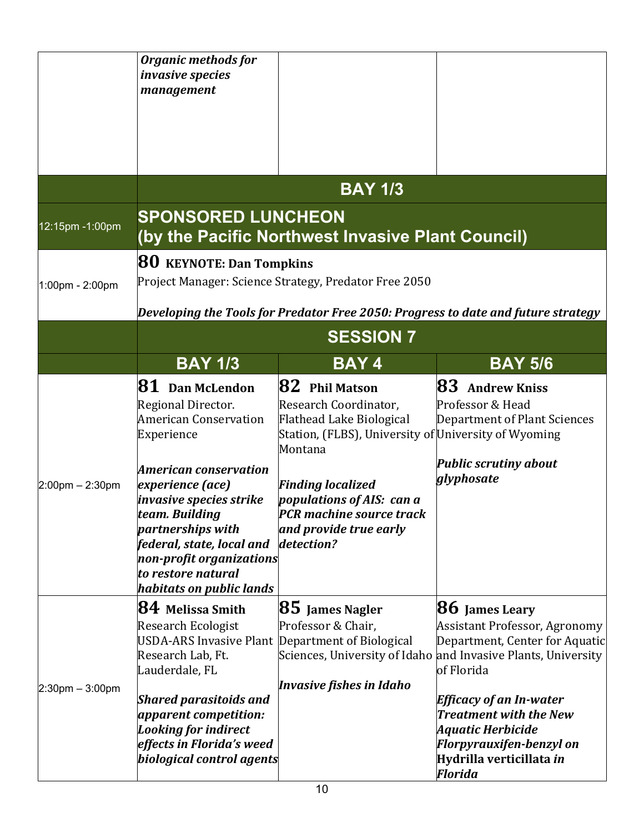|                       | <b>Organic methods for</b><br><i>invasive species</i><br>management                                                                                                                                                                                                                                                    |                                                                                                                                                                                                                                                                       |                                                                                                                                                                                                                                                                                                                                           |  |
|-----------------------|------------------------------------------------------------------------------------------------------------------------------------------------------------------------------------------------------------------------------------------------------------------------------------------------------------------------|-----------------------------------------------------------------------------------------------------------------------------------------------------------------------------------------------------------------------------------------------------------------------|-------------------------------------------------------------------------------------------------------------------------------------------------------------------------------------------------------------------------------------------------------------------------------------------------------------------------------------------|--|
|                       |                                                                                                                                                                                                                                                                                                                        | <b>BAY 173</b>                                                                                                                                                                                                                                                        |                                                                                                                                                                                                                                                                                                                                           |  |
| 12:15pm -1:00pm       | <b>SPONSORED LUNCHEON</b>                                                                                                                                                                                                                                                                                              | (by the Pacific Northwest Invasive Plant Council)                                                                                                                                                                                                                     |                                                                                                                                                                                                                                                                                                                                           |  |
| 1:00pm - 2:00pm       |                                                                                                                                                                                                                                                                                                                        | <b>80</b> KEYNOTE: Dan Tompkins<br>Project Manager: Science Strategy, Predator Free 2050                                                                                                                                                                              |                                                                                                                                                                                                                                                                                                                                           |  |
|                       |                                                                                                                                                                                                                                                                                                                        | Developing the Tools for Predator Free 2050: Progress to date and future strategy<br><b>SESSION 7</b>                                                                                                                                                                 |                                                                                                                                                                                                                                                                                                                                           |  |
|                       | <b>BAY 1/3</b>                                                                                                                                                                                                                                                                                                         | <b>BAY4</b>                                                                                                                                                                                                                                                           | <b>BAY 5/6</b>                                                                                                                                                                                                                                                                                                                            |  |
| $2:00$ pm $- 2:30$ pm | $81$ Dan McLendon<br>Regional Director.<br><b>American Conservation</b><br>Experience<br><b>American conservation</b><br>experience (ace)<br>invasive species strike<br>team. Buildina<br>partnerships with<br>federal, state, local and<br>non-profit organizations<br>to restore natural<br>habitats on public lands | $82$ Phil Matson<br>Research Coordinator,<br>Flathead Lake Biological<br>Station, (FLBS), University of University of Wyoming<br>Montana<br><b>Finding localized</b><br>populations of AIS: can a<br>PCR machine source track<br>and provide true early<br>detection? | <b>83</b> Andrew Kniss<br>Professor & Head<br>Department of Plant Sciences<br><b>Public scrutiny about</b><br>glyphosate                                                                                                                                                                                                                  |  |
| $2:30$ pm $-3:00$ pm  | $ 84 $ Melissa Smith<br><b>Research Ecologist</b><br>USDA-ARS Invasive Plant Department of Biological<br>Research Lab, Ft.<br>Lauderdale, FL<br><b>Shared parasitoids and</b><br>apparent competition:<br><b>Looking for indirect</b><br>effects in Florida's weed<br>biological control agents                        | <b>85</b> James Nagler<br>Professor & Chair,<br>Invasive fishes in Idaho                                                                                                                                                                                              | <b>86</b> James Leary<br><b>Assistant Professor, Agronomy</b><br>Department, Center for Aquatic<br>Sciences, University of Idaho and Invasive Plants, University<br>of Florida<br><b>Efficacy of an In-water</b><br><b>Treatment with the New</b><br>Aquatic Herbicide<br>Florpyrauxifen-benzyl on<br>Hydrilla verticillata in<br>Florida |  |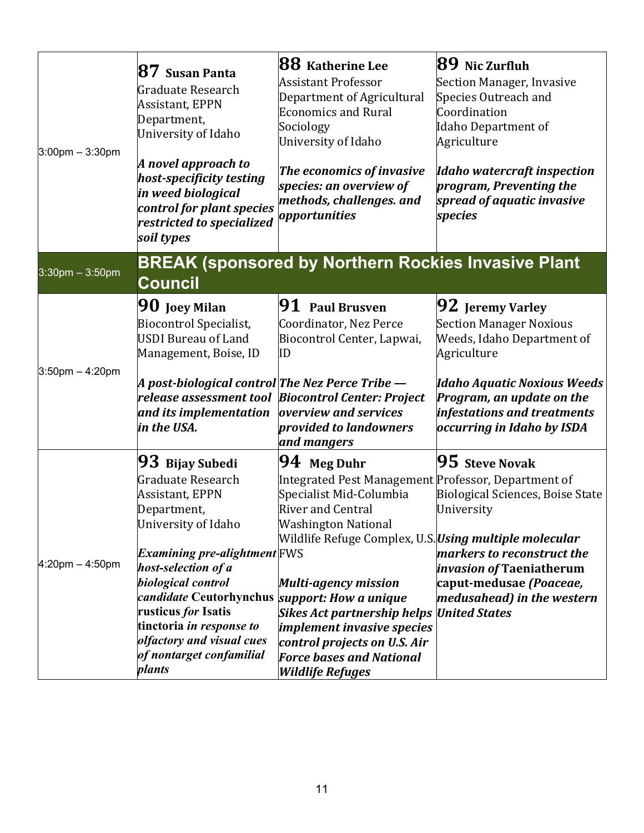| $3:00$ pm $-3:30$ pm | $\bf 87$ Susan Panta<br>Graduate Research<br>Assistant, EPPN<br>Department,<br>University of Idaho<br>A novel approach to<br>host-specificity testing<br>in weed biological<br>control for plant species<br>restricted to specialized<br>soil types                                                                                                | 88 Katherine Lee<br><b>Assistant Professor</b><br>Department of Agricultural<br><b>Economics and Rural</b><br>Sociology<br>University of Idaho<br>The economics of invasive<br>species: an overview of<br>methods, challenges. and<br>opportunities                                                                                                                                                                                         | $89$ Nic Zurfluh<br>Section Manager, Invasive<br>Species Outreach and<br>Coordination<br>Idaho Department of<br>Agriculture<br><b>Idaho watercraft inspection</b><br>program, Preventing the<br>spread of aquatic invasive<br>species |
|----------------------|----------------------------------------------------------------------------------------------------------------------------------------------------------------------------------------------------------------------------------------------------------------------------------------------------------------------------------------------------|---------------------------------------------------------------------------------------------------------------------------------------------------------------------------------------------------------------------------------------------------------------------------------------------------------------------------------------------------------------------------------------------------------------------------------------------|---------------------------------------------------------------------------------------------------------------------------------------------------------------------------------------------------------------------------------------|
| $3:30$ pm $-3:50$ pm | <b>Council</b>                                                                                                                                                                                                                                                                                                                                     | <b>BREAK (sponsored by Northern Rockies Invasive Plant</b>                                                                                                                                                                                                                                                                                                                                                                                  |                                                                                                                                                                                                                                       |
| $3:50$ pm $-4:20$ pm | $\mathbf{90}$ Joey Milan<br><b>Biocontrol Specialist,</b><br>USDI Bureau of Land<br>Management, Boise, ID<br> A post-biological control The Nez Perce Tribe —<br>and its implementation<br>in the USA.                                                                                                                                             | <b>91</b> Paul Brusven<br>Coordinator, Nez Perce<br>Biocontrol Center, Lapwai,<br>ID<br>release assessment tool Biocontrol Center: Project<br>overview and services<br>provided to landowners<br>and mangers                                                                                                                                                                                                                                | <b>92</b> Jeremy Varley<br><b>Section Manager Noxious</b><br>Weeds, Idaho Department of<br>Agriculture<br>Idaho Aquatic Noxious Weeds<br>Program, an update on the<br>infestations and treatments<br>occurring in Idaho by ISDA       |
| $4:20$ pm $-4:50$ pm | $\bm{93}\,$ Bijay Subedi<br>Graduate Research<br>Assistant, EPPN<br>Department,<br>University of Idaho<br><i>Examining pre-alightment</i> FWS<br>host-selection of a<br>biological control<br>candidate Ceutorhynchus<br>rusticus <i>for</i> Isatis<br>tinctoria in response to<br>olfactory and visual cues<br>of nontarget confamilial<br>plants | 94 Meg Duhr<br>Integrated Pest Management Professor, Department of<br>Specialist Mid-Columbia<br><b>River and Central</b><br><b>Washington National</b><br>Wildlife Refuge Complex, U.S. <i>Using multiple molecular</i><br>Multi-agency mission<br>support: How a unique<br><b>Sikes Act partnership helps</b><br>implement invasive species<br>control projects on U.S. Air<br><b>Force bases and National</b><br><b>Wildlife Refuges</b> | $95$ Steve Novak<br>Biological Sciences, Boise State<br>University<br>markers to reconstruct the<br><i>invasion of Taeniatherum</i><br>caput-medusae (Poaceae,<br>medusahead) in the western<br><b>United States</b>                  |